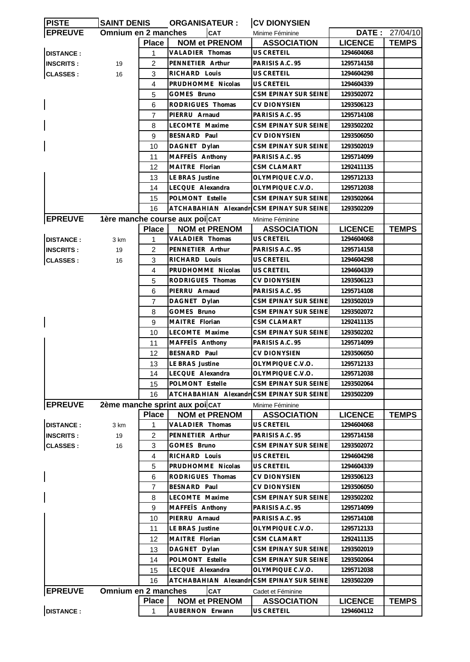| <b>PISTE</b>     | <b>SAINT DENIS</b>  |                | <b>ORGANISATEUR:</b>                      | <b>CV DIONYSIEN</b>         |                |                       |
|------------------|---------------------|----------------|-------------------------------------------|-----------------------------|----------------|-----------------------|
| <b>EPREUVE</b>   | Omnium en 2 manches |                | <b>CAT</b>                                | Minime Féminine             |                | <b>DATE: 27/04/10</b> |
|                  |                     | Place          | <b>NOM et PRENOM</b>                      | <b>ASSOCIATION</b>          | <b>LICENCE</b> | <b>TEMPS</b>          |
| <b>DISTANCE:</b> |                     | 1              | VALADIER Thomas                           | US CRETEIL                  | 1294604068     |                       |
| <b>INSCRITS:</b> | 19                  | $\overline{2}$ | PENNETIER Arthur                          | PARISIS A.C. 95             | 1295714158     |                       |
| <b>CLASSES:</b>  | 16                  | 3              | RICHARD Louis                             | US CRETEIL                  | 1294604298     |                       |
|                  |                     | 4              | PRUDHOMME Nicolas                         | US CRETEIL                  | 1294604339     |                       |
|                  |                     | 5              | GOMES Bruno                               | CSM EPINAY SUR SEINE        | 1293502072     |                       |
|                  |                     | 6              | RODRIGUES Thomas                          | CV DIONYSIEN                | 1293506123     |                       |
|                  |                     | 7              | PIERRU Arnaud                             | PARISIS A.C. 95             | 1295714108     |                       |
|                  |                     | 8              | LECOMTE Maxime                            | CSM EPINAY SUR SEINE        | 1293502202     |                       |
|                  |                     | 9              | BESNARD Paul                              | <b>CV DIONYSIEN</b>         | 1293506050     |                       |
|                  |                     | 10             | DAGNET Dylan                              | CSM EPINAY SUR SEINE        | 1293502019     |                       |
|                  |                     | 11             | MAFFEIS Anthony                           | PARISIS A.C. 95             | 1295714099     |                       |
|                  |                     | 12             | MAITRE Florian                            | CSM CLAMART                 | 1292411135     |                       |
|                  |                     | 13             | LE BRAS Justine                           | OLYMPIQUE C.V.O.            | 1295712133     |                       |
|                  |                     | 14             | LECQUE Alexandra                          | OLYMPIQUE C.V.O.            | 1295712038     |                       |
|                  |                     |                | POLMONT Estelle                           | CSM EPINAY SUR SEINE        | 1293502064     |                       |
|                  |                     | 15             |                                           |                             |                |                       |
|                  |                     | 16             | ATCHABAHIAN Alexandr                      | CSM EPINAY SUR SEINE        | 1293502209     |                       |
| <b>EPREUVE</b>   |                     |                | 1ère manche course aux poi CAT            | Minime Féminine             |                |                       |
|                  |                     | Place          | <b>NOM et PRENOM</b>                      | <b>ASSOCIATION</b>          | <b>LICENCE</b> | <b>TEMPS</b>          |
| <b>DISTANCE:</b> | 3 km                | 1              | <b>VALADIER Thomas</b>                    | US CRETEIL                  | 1294604068     |                       |
| <b>INSCRITS:</b> | 19                  | 2              | PENNETIER Arthur                          | PARISIS A.C. 95             | 1295714158     |                       |
| <b>CLASSES:</b>  | 16                  | 3              | RICHARD Louis                             | US CRETEIL                  | 1294604298     |                       |
|                  |                     | 4              | PRUDHOMME Nicolas                         | US CRETEIL                  | 1294604339     |                       |
|                  |                     | 5              | RODRIGUES Thomas                          | CV DIONYSIEN                | 1293506123     |                       |
|                  |                     | 6              | PIERRU Arnaud                             | PARISIS A.C. 95             | 1295714108     |                       |
|                  |                     | 7              | DAGNET Dylan                              | CSM EPINAY SUR SEINE        | 1293502019     |                       |
|                  |                     | 8              | GOMES Bruno                               | CSM EPINAY SUR SEINE        | 1293502072     |                       |
|                  |                     | 9              | MAITRE Florian                            | CSM CLAMART                 | 1292411135     |                       |
|                  |                     | 10             | LECOMTE Maxime                            | CSM EPINAY SUR SEINE        | 1293502202     |                       |
|                  |                     | 11             | MAFFETS Anthony                           | PARISIS A.C. 95             | 1295714099     |                       |
|                  |                     | 12             | <b>BESNARD Paul</b>                       | <b>CV DIONYSIEN</b>         | 1293506050     |                       |
|                  |                     | 13             | LE BRAS Justine                           | OLYMPIQUE C.V.O.            | 1295712133     |                       |
|                  |                     | 14             | LECQUE Alexandra                          | OLYMPIQUE C.V.O.            | 1295712038     |                       |
|                  |                     | 15             | POLMONT Estelle                           | CSM EPINAY SUR SEINE        | 1293502064     |                       |
|                  |                     | 16             | ATCHABAHIAN Alexandr CSM EPINAY SUR SEINE |                             | 1293502209     |                       |
| <b>EPREUVE</b>   |                     |                | 2ème manche sprint aux poi CAT            | Minime Féminine             |                |                       |
|                  |                     | <b>Place</b>   | <b>NOM et PRENOM</b>                      | <b>ASSOCIATION</b>          | <b>LICENCE</b> | <b>TEMPS</b>          |
| <b>DISTANCE:</b> | 3 km                | 1              | <b>VALADIER Thomas</b>                    | <b>US CRETEIL</b>           | 1294604068     |                       |
| <b>INSCRITS:</b> | 19                  | 2              | PENNETIER Arthur                          | PARISIS A.C. 95             | 1295714158     |                       |
| <b>CLASSES:</b>  | 16                  | 3              | GOMES Bruno                               | CSM EPINAY SUR SEINE        | 1293502072     |                       |
|                  |                     | $\overline{4}$ | RICHARD Louis                             | US CRETEIL                  | 1294604298     |                       |
|                  |                     | 5              | PRUDHOMME Nicolas                         | US CRETEIL                  | 1294604339     |                       |
|                  |                     | 6              | RODRIGUES Thomas                          | CV DIONYSIEN                | 1293506123     |                       |
|                  |                     | 7              | BESNARD Paul                              | <b>CV DIONYSIEN</b>         | 1293506050     |                       |
|                  |                     | 8              | LECOMTE Maxime                            | CSM EPINAY SUR SEINE        | 1293502202     |                       |
|                  |                     | 9              | MAFFETS Anthony                           | PARISIS A.C. 95             | 1295714099     |                       |
|                  |                     | 10             | PIERRU Arnaud                             | PARISIS A.C. 95             | 1295714108     |                       |
|                  |                     | 11             | LE BRAS Justine                           | OLYMPIQUE C.V.O.            | 1295712133     |                       |
|                  |                     | 12             | MAITRE Florian                            | CSM CLAMART                 | 1292411135     |                       |
|                  |                     |                | DAGNET Dylan                              |                             |                |                       |
|                  |                     | 13             |                                           | CSM EPINAY SUR SEINE        | 1293502019     |                       |
|                  |                     | 14             | POLMONT Estelle                           | CSM EPINAY SUR SEINE        | 1293502064     |                       |
|                  |                     | 15             | LECQUE Alexandra                          | OLYMPIQUE C.V.O.            | 1295712038     |                       |
|                  |                     | 16             | ATCHABAHIAN Alexandr                      | <b>CSM EPINAY SUR SEINE</b> | 1293502209     |                       |
| <b>EPREUVE</b>   | Omnium en 2 manches |                | CAT                                       | Cadet et Féminine           |                |                       |
|                  |                     | <b>Place</b>   | <b>NOM et PRENOM</b>                      | <b>ASSOCIATION</b>          | <b>LICENCE</b> | <b>TEMPS</b>          |
| <b>DISTANCE:</b> |                     | 1              | AUBERNON Erwann                           | US CRETEIL                  | 1294604112     |                       |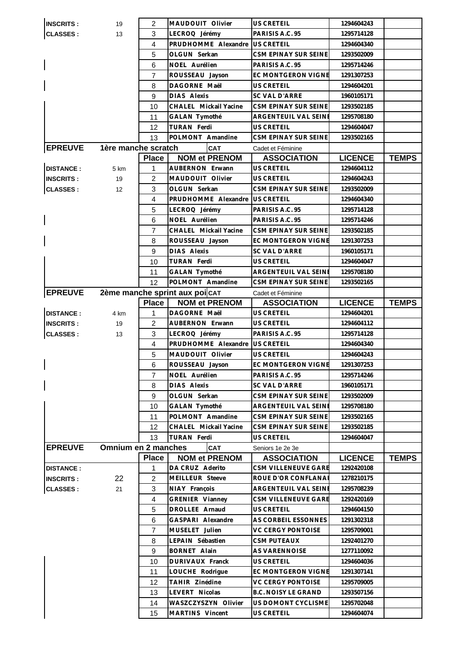| <b>INSCRITS:</b> | 19                  | $\overline{2}$      | MAUDOUIT Olivier                     | US CRETEIL                       | 1294604243                   |              |
|------------------|---------------------|---------------------|--------------------------------------|----------------------------------|------------------------------|--------------|
| <b>CLASSES:</b>  | 13                  | 3                   | LECROQ Jérémy                        | PARISIS A.C. 95                  | 1295714128                   |              |
|                  |                     | 4                   | PRUDHOMME Alexandre                  | <b>US CRETEIL</b>                | 1294604340                   |              |
|                  |                     | 5                   | OLGUN Serkan                         | CSM EPINAY SUR SEINE             | 1293502009                   |              |
|                  |                     | 6                   | NOEL Aurélien                        | PARISIS A.C. 95                  | 1295714246                   |              |
|                  |                     | $\overline{7}$      | ROUSSEAU Jayson                      | EC MONTGERON VIGNE               | 1291307253                   |              |
|                  |                     | 8                   | DAGORNE Maël                         | US CRETEIL                       | 1294604201                   |              |
|                  |                     | 9                   | <b>DIAS Alexis</b>                   | SC VAL D'ARRE                    | 1960105171                   |              |
|                  |                     | 10                  | CHALEL Mickail Yacine                | CSM EPINAY SUR SEINE             | 1293502185                   |              |
|                  |                     | 11                  | GALAN Tymothé                        | ARGENTEUIL VAL SEINE             | 1295708180                   |              |
|                  |                     | 12                  | TURAN Ferdi                          | <b>US CRETEIL</b>                | 1294604047                   |              |
|                  |                     | 13                  | POLMONT Amandine                     | CSM EPINAY SUR SEINE             | 1293502165                   |              |
| <b>EPREUVE</b>   | 1ère manche scratch |                     | <b>CAT</b>                           | Cadet et Féminine                |                              |              |
|                  |                     | <b>Place</b>        | <b>NOM et PRENOM</b>                 | <b>ASSOCIATION</b>               | <b>LICENCE</b>               | <b>TEMPS</b> |
| <b>DISTANCE:</b> | 5 km                | 1                   | AUBERNON Erwann                      | US CRETEIL                       | 1294604112                   |              |
| <b>INSCRITS:</b> | 19                  | $\overline{2}$      | MAUDOUIT Olivier                     | US CRETEIL                       | 1294604243                   |              |
| <b>CLASSES:</b>  | 12                  | 3                   | OLGUN Serkan                         | CSM EPINAY SUR SEINE             | 1293502009                   |              |
|                  |                     | $\overline{4}$      | PRUDHOMME Alexandre                  | <b>US CRETEIL</b>                | 1294604340                   |              |
|                  |                     | 5                   | LECROQ Jérémy                        | PARISIS A.C. 95                  | 1295714128                   |              |
|                  |                     | 6                   | NOEL Aurélien                        | PARISIS A.C. 95                  | 1295714246                   |              |
|                  |                     | $\overline{7}$      | CHALEL Mickail Yacine                | CSM EPINAY SUR SEINE             | 1293502185                   |              |
|                  |                     | 8                   | ROUSSEAU Jayson                      | <b>EC MONTGERON VIGNE</b>        | 1291307253                   |              |
|                  |                     | 9                   | DIAS Alexis                          | SC VAL D'ARRE                    | 1960105171                   |              |
|                  |                     | 10                  | TURAN Ferdi                          | US CRETEIL                       |                              |              |
|                  |                     |                     |                                      |                                  | 1294604047                   |              |
|                  |                     | 11<br>12            | GALAN Tymothé                        | ARGENTEUIL VAL SEINE             | 1295708180                   |              |
|                  |                     |                     | POLMONT Amandine                     | CSM EPINAY SUR SEINE             | 1293502165                   |              |
| <b>EPREUVE</b>   |                     | <b>Place</b>        | 2ème manche sprint aux poi CAT       | Cadet et Féminine                |                              |              |
|                  |                     | 1                   | <b>NOM et PRENOM</b><br>DAGORNE Maël | <b>ASSOCIATION</b><br>US CRETEIL | <b>LICENCE</b><br>1294604201 | <b>TEMPS</b> |
| <b>DISTANCE:</b> | 4 km                |                     | AUBERNON Erwann                      | US CRETEIL                       | 1294604112                   |              |
| <b>INSCRITS:</b> | 19                  | $\overline{c}$<br>3 |                                      | PARISIS A.C. 95                  | 1295714128                   |              |
| <b>CLASSES:</b>  | 13                  |                     | LECROQ Jérémy<br>PRUDHOMME Alexandre | <b>US CRETEIL</b>                |                              |              |
|                  |                     | 4                   |                                      | <b>US CRETEIL</b>                | 1294604340                   |              |
|                  |                     | 5<br>$6\phantom{1}$ | MAUDOUIT Olivier                     |                                  | 1294604243                   |              |
|                  |                     |                     | ROUSSEAU Jayson                      | EC MONTGERON VIGNE               | 1291307253                   |              |
|                  |                     | 7                   | NOEL Aurélien                        | PARISIS A.C. 95                  | 1295714246                   |              |
|                  |                     | 8                   | DIAS Alexis                          | SC VAL D'ARRE                    | 1960105171                   |              |
|                  |                     | 9                   | OLGUN Serkan                         | <b>CSM EPINAY SUR SEINE</b>      | 1293502009                   |              |
|                  |                     | 10                  | <b>GALAN Tymothé</b>                 | ARGENTEUIL VAL SEINE             | 1295708180                   |              |
|                  |                     | 11                  | POLMONT Amandine                     | CSM EPINAY SUR SEINE             | 1293502165                   |              |
|                  |                     | 12                  | CHALEL Mickail Yacine                | CSM EPINAY SUR SEINE             | 1293502185                   |              |
|                  |                     | 13                  | TURAN Ferdi                          | US CRETEIL                       | 1294604047                   |              |
| <b>EPREUVE</b>   | Omnium en 2 manches |                     | <b>CAT</b>                           | Seniors 1e 2e 3e                 |                              |              |
|                  |                     | <b>Place</b>        | <b>NOM et PRENOM</b>                 | <b>ASSOCIATION</b>               | <b>LICENCE</b>               | <b>TEMPS</b> |
| <b>DISTANCE:</b> |                     | 1                   | DA CRUZ Aderito                      | CSM VILLENEUVE GARE              | 1292420108                   |              |
| <b>INSCRITS:</b> | 22                  | $\overline{2}$      | MEILLEUR Steeve                      | ROUE D'OR CONFLANAI              | 1278210175                   |              |
| <b>CLASSES:</b>  | 21                  | 3                   | NIAY François                        | ARGENTEUIL VAL SEINE             | 1295708239                   |              |
|                  |                     | 4                   | <b>GRENIER Vianney</b>               | CSM VILLENEUVE GARE              | 1292420169                   |              |
|                  |                     | 5                   | DROLLEE Arnaud                       | US CRETEIL                       | 1294604150                   |              |
|                  |                     | 6                   | GASPARI Alexandre                    | AS CORBEIL ESSONNES              | 1291302318                   |              |
|                  |                     | $\overline{7}$      | MUSELET Julien                       | VC CERGY PONTOISE                | 1295709001                   |              |
|                  |                     | 8                   | LEPAIN Sébastien                     | <b>CSM PUTEAUX</b>               | 1292401270                   |              |
|                  |                     | 9                   | <b>BORNET Alain</b>                  | AS VARENNOISE                    | 1277110092                   |              |
|                  |                     | 10                  | DURIVAUX Franck                      | US CRETEIL                       | 1294604036                   |              |
|                  |                     | 11                  | LOUCHE Rodrigue                      | EC MONTGERON VIGNE               | 1291307141                   |              |
|                  |                     | 12                  | TAHIR Zinédine                       | <b>VC CERGY PONTOISE</b>         | 1295709005                   |              |
|                  |                     | 13                  | LEVERT Nicolas                       | <b>B.C. NOISY LE GRAND</b>       | 1293507156                   |              |
|                  |                     | 14                  | WASZCZYSZYN Olivier                  | US DOMONT CYCLISME               | 1295702048                   |              |
|                  |                     | 15                  | MARTINS Vincent                      | US CRETEIL                       | 1294604074                   |              |
|                  |                     |                     |                                      |                                  |                              |              |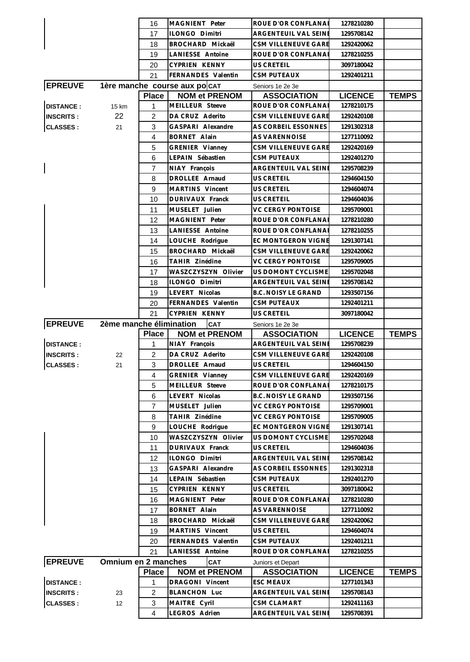|                   |                         | 16                      | MAGNIENT Peter                | ROUE D'OR CONFLANAI                        | 1278210280                   |              |
|-------------------|-------------------------|-------------------------|-------------------------------|--------------------------------------------|------------------------------|--------------|
|                   |                         | 17                      | ILONGO Dimitri                | ARGENTEUIL VAL SEINE                       | 1295708142                   |              |
|                   |                         | 18                      | BROCHARD Mickaël              | CSM VILLENEUVE GARE                        | 1292420062                   |              |
|                   |                         | 19                      | LANIESSE Antoine              | ROUE D'OR CONFLANAI                        | 1278210255                   |              |
|                   |                         | 20                      | CYPRIEN KENNY                 | US CRETEIL                                 | 3097180042                   |              |
|                   |                         | 21                      | FERNANDES Valentin            | CSM PUTEAUX                                | 1292401211                   |              |
| <b>EPREUVE</b>    |                         |                         | 1ère manche course aux po CAT | Seniors 1e 2e 3e                           |                              |              |
|                   |                         | <b>Place</b>            | <b>NOM et PRENOM</b>          | <b>ASSOCIATION</b>                         | <b>LICENCE</b>               | <b>TEMPS</b> |
| <b>DISTANCE:</b>  | 15 km                   | 1                       | MEILLEUR Steeve               | ROUE D'OR CONFLANA                         | 1278210175                   |              |
| <b>INSCRITS:</b>  | 22                      | 2                       | DA CRUZ Aderito               | CSM VILLENEUVE GARE                        | 1292420108                   |              |
| <b>CLASSES:</b>   | 21                      | 3                       | GASPARI Alexandre             | AS CORBEIL ESSONNES                        | 1291302318                   |              |
|                   |                         | $\overline{4}$          | <b>BORNET Alain</b>           | <b>AS VARENNOISE</b>                       | 1277110092                   |              |
|                   |                         | 5                       | <b>GRENIER Vianney</b>        | CSM VILLENEUVE GARE                        | 1292420169                   |              |
|                   |                         | 6                       | LEPAIN Sébastien              | CSM PUTEAUX                                | 1292401270                   |              |
|                   |                         | 7                       | NIAY François                 | ARGENTEUIL VAL SEINE                       | 1295708239                   |              |
|                   |                         | 8                       | DROLLEE Arnaud                | US CRETEIL                                 | 1294604150                   |              |
|                   |                         | 9                       | MARTINS Vincent               | <b>US CRETEIL</b>                          | 1294604074                   |              |
|                   |                         | 10                      | DURIVAUX Franck               | <b>US CRETEIL</b>                          | 1294604036                   |              |
|                   |                         | 11                      | MUSELET Julien                | VC CERGY PONTOISE                          | 1295709001                   |              |
|                   |                         | 12                      | MAGNIENT Peter                | ROUE D'OR CONFLANA                         | 1278210280                   |              |
|                   |                         | 13                      | LANIESSE Antoine              | ROUE D'OR CONFLANA                         | 1278210255                   |              |
|                   |                         | 14                      | LOUCHE Rodrigue               | <b>EC MONTGERON VIGNE</b>                  | 1291307141                   |              |
|                   |                         | 15                      | BROCHARD Mickaël              | CSM VILLENEUVE GARE                        | 1292420062                   |              |
|                   |                         | 16                      | TAHIR Zinédine                | <b>VC CERGY PONTOISE</b>                   | 1295709005                   |              |
|                   |                         | 17                      | WASZCZYSZYN Olivier           | US DOMONT CYCLISME                         | 1295702048                   |              |
|                   |                         | 18                      | ILONGO Dimitri                | ARGENTEUIL VAL SEINE                       | 1295708142                   |              |
|                   |                         | 19                      | LEVERT Nicolas                | <b>B.C. NOISY LE GRAND</b>                 | 1293507156                   |              |
|                   |                         | 20                      | FERNANDES Valentin            | <b>CSM PUTEAUX</b>                         | 1292401211                   |              |
|                   |                         | 21                      | CYPRIEN KENNY                 | US CRETEIL                                 | 3097180042                   |              |
| <b>EPREUVE</b>    | 2ème manche élimination |                         | <b>CAT</b>                    | Seniors 1e 2e 3e                           |                              |              |
|                   |                         |                         |                               |                                            |                              |              |
|                   |                         | <b>Place</b>            | <b>NOM et PRENOM</b>          |                                            |                              |              |
| <b>DISTANCE:</b>  |                         | 1                       | NIAY François                 | <b>ASSOCIATION</b><br>ARGENTEUIL VAL SEINE | <b>LICENCE</b><br>1295708239 | <b>TEMPS</b> |
| <b>IINSCRITS:</b> | 22                      | $\overline{2}$          | DA CRUZ Aderito               | CSM VILLENEUVE GARE                        | 1292420108                   |              |
|                   | 21                      | 3                       | DROLLEE Arnaud                | <b>US CRETEIL</b>                          | 1294604150                   |              |
| <b>CLASSES:</b>   |                         | $\overline{\mathbf{4}}$ | GRENIER Vianney               | CSM VILLENEUVE GARE                        | 1292420169                   |              |
|                   |                         | 5                       | MEILLEUR Steeve               | ROUE D'OR CONFLANAI                        | 1278210175                   |              |
|                   |                         |                         | LEVERT Nicolas                | <b>B.C. NOISY LE GRAND</b>                 | 1293507156                   |              |
|                   |                         | 6<br>$\overline{7}$     | MUSELET Julien                | VC CERGY PONTOISE                          | 1295709001                   |              |
|                   |                         | 8                       | TAHIR Zinédine                | VC CERGY PONTOISE                          | 1295709005                   |              |
|                   |                         | 9                       | LOUCHE Rodrigue               | EC MONTGERON VIGNE                         | 1291307141                   |              |
|                   |                         | 10                      | WASZCZYSZYN Olivier           | US DOMONT CYCLISME                         | 1295702048                   |              |
|                   |                         | 11                      | DURIVAUX Franck               | US CRETEIL                                 | 1294604036                   |              |
|                   |                         | 12                      | ILONGO Dimitri                | ARGENTEUIL VAL SEINE                       | 1295708142                   |              |
|                   |                         | 13                      | GASPARI Alexandre             | AS CORBEIL ESSONNES                        | 1291302318                   |              |
|                   |                         | 14                      | LEPAIN Sébastien              | <b>CSM PUTEAUX</b>                         | 1292401270                   |              |
|                   |                         | 15                      | CYPRIEN KENNY                 | US CRETEIL                                 | 3097180042                   |              |
|                   |                         | 16                      | MAGNIENT Peter                | ROUE D'OR CONFLANA                         | 1278210280                   |              |
|                   |                         | 17                      | <b>BORNET Alain</b>           | AS VARENNOISE                              | 1277110092                   |              |
|                   |                         | 18                      | BROCHARD Mickaël              | CSM VILLENEUVE GARE                        | 1292420062                   |              |
|                   |                         | 19                      | MARTINS Vincent               | US CRETEIL                                 | 1294604074                   |              |
|                   |                         | 20                      | FERNANDES Valentin            | <b>CSM PUTEAUX</b>                         | 1292401211                   |              |
|                   |                         | 21                      | LANIESSE Antoine              | ROUE D'OR CONFLANA                         | 1278210255                   |              |
| <b>EPREUVE</b>    | Omnium en 2 manches     |                         | <b>CAT</b>                    | Juniors et Depart                          |                              |              |
|                   |                         | <b>Place</b>            | <b>NOM et PRENOM</b>          | <b>ASSOCIATION</b>                         | <b>LICENCE</b>               | <b>TEMPS</b> |
| <b>DISTANCE:</b>  |                         | 1                       | DRAGONI Vincent               | <b>ESC MEAUX</b>                           | 1277101343                   |              |
| <b>INSCRITS:</b>  | 23                      | 2                       | <b>BLANCHON Luc</b>           | ARGENTEUIL VAL SEINE                       | 1295708143                   |              |
| <b>CLASSES:</b>   | 12                      | 3                       | MAITRE Cyril                  | CSM CLAMART                                | 1292411163                   |              |
|                   |                         | 4                       | LEGROS Adrien                 | ARGENTEUIL VAL SEINE                       | 1295708391                   |              |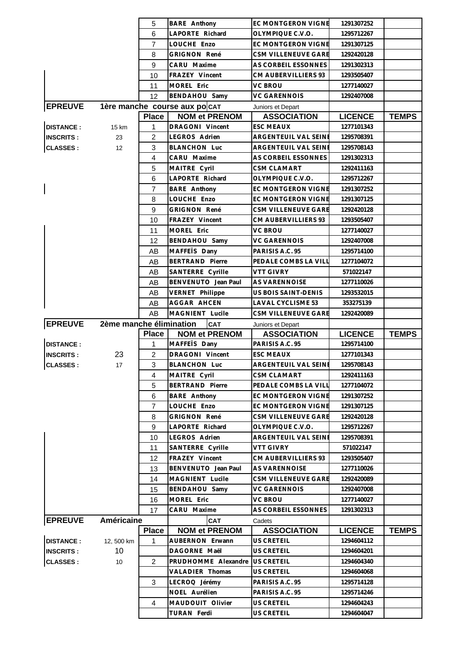|                  |                         | 5                 | <b>BARE</b> Anthony                    | EC MONTGERON VIGNE                              | 1291307252                   |              |
|------------------|-------------------------|-------------------|----------------------------------------|-------------------------------------------------|------------------------------|--------------|
|                  |                         | 6                 | LAPORTE Richard                        | OLYMPIQUE C.V.O.                                | 1295712267                   |              |
|                  |                         | $\overline{7}$    | LOUCHE Enzo                            | EC MONTGERON VIGNE                              | 1291307125                   |              |
|                  |                         | 8                 | <b>GRIGNON René</b>                    | CSM VILLENEUVE GARE                             | 1292420128                   |              |
|                  |                         | 9                 | CARU Maxime                            | AS CORBEIL ESSONNES                             | 1291302313                   |              |
|                  |                         | 10                | FRAZEY Vincent                         | CM AUBERVILLIERS 93                             | 1293505407                   |              |
|                  |                         | 11                | MOREL Eric                             | VC BROU                                         | 1277140027                   |              |
|                  |                         | 12                | BENDAHOU Samy                          | VC GARENNOIS                                    | 1292407008                   |              |
| <b>EPREUVE</b>   |                         |                   | 1ère manche course aux pocAT           | Juniors et Depart                               |                              |              |
|                  |                         | <b>Place</b>      | <b>NOM et PRENOM</b>                   | <b>ASSOCIATION</b>                              | <b>LICENCE</b>               | <b>TEMPS</b> |
| <b>DISTANCE:</b> | 15 km                   | 1                 | DRAGONI Vincent                        | <b>ESC MEAUX</b>                                | 1277101343                   |              |
| <b>INSCRITS:</b> | 23                      | $\overline{2}$    | LEGROS Adrien                          | ARGENTEUIL VAL SEINE                            | 1295708391                   |              |
| <b>CLASSES:</b>  | 12                      | 3                 | <b>BLANCHON Luc</b>                    | ARGENTEUIL VAL SEINI                            | 1295708143                   |              |
|                  |                         | $\overline{4}$    | CARU Maxime                            | AS CORBEIL ESSONNES                             | 1291302313                   |              |
|                  |                         | 5                 | MAITRE Cyril                           | CSM CLAMART                                     | 1292411163                   |              |
|                  |                         | 6                 | LAPORTE Richard                        | OLYMPIQUE C.V.O.                                | 1295712267                   |              |
|                  |                         | $\overline{7}$    | <b>BARE Anthony</b>                    | EC MONTGERON VIGNE                              | 1291307252                   |              |
|                  |                         | 8                 | LOUCHE Enzo                            | EC MONTGERON VIGNE                              | 1291307125                   |              |
|                  |                         | 9                 | <b>GRIGNON René</b>                    | CSM VILLENEUVE GARE                             | 1292420128                   |              |
|                  |                         | 10                | FRAZEY Vincent                         | CM AUBERVILLIERS 93                             | 1293505407                   |              |
|                  |                         | 11                | MOREL Eric                             | VC BROU                                         | 1277140027                   |              |
|                  |                         | 12                | BENDAHOU Samy                          | VC GARENNOIS                                    | 1292407008                   |              |
|                  |                         | AB                | MAFFETS Dany                           | PARISIS A.C. 95                                 | 1295714100                   |              |
|                  |                         | AВ                | <b>BERTRAND Pierre</b>                 | PEDALE COMBS LA VILI                            | 1277104072                   |              |
|                  |                         | AB                | SANTERRE Cyrille                       | <b>VTT GIVRY</b>                                | 571022147                    |              |
|                  |                         | AB                | BENVENUTO Jean Paul                    | AS VARENNOISE                                   | 1277110026                   |              |
|                  |                         | AB                | VERNET Philippe                        | US BOIS SAINT-DENIS                             | 1293532015                   |              |
|                  |                         | AB                | AGGAR AHCEN                            | LAVAL CYCLISME 53                               | 353275139                    |              |
|                  |                         | AB                | MAGNIENT Lucile                        | CSM VILLENEUVE GARE                             | 1292420089                   |              |
|                  |                         |                   |                                        |                                                 |                              |              |
|                  |                         |                   |                                        |                                                 |                              |              |
| <b>EPREUVE</b>   | 2ème manche élimination |                   | <b>CAT</b>                             | Juniors et Depart                               |                              |              |
|                  |                         | <b>Place</b><br>1 | <b>NOM et PRENOM</b>                   | <b>ASSOCIATION</b>                              | <b>LICENCE</b><br>1295714100 | <b>TEMPS</b> |
| <b>DISTANCE:</b> |                         | 2                 | MAFFETS Dany<br>DRAGONI Vincent        | PARISIS A.C. 95<br><b>ESC MEAUX</b>             | 1277101343                   |              |
| <b>INSCRITS:</b> | 23                      |                   | <b>BLANCHON Luc</b>                    |                                                 | 1295708143                   |              |
| <b>CLASSES:</b>  | 17                      | 3                 |                                        | ARGENTEUIL VAL SEINE                            |                              |              |
|                  |                         | 4                 | MAITRE Cyril<br><b>BERTRAND Pierre</b> | CSM CLAMART<br>PEDALE COMBS LA VILL             | 1292411163<br>1277104072     |              |
|                  |                         | 5                 |                                        |                                                 |                              |              |
|                  |                         | 6<br>7            | <b>BARE Anthony</b><br>LOUCHE Enzo     | EC MONTGERON VIGNE<br><b>EC MONTGERON VIGNE</b> | 1291307252<br>1291307125     |              |
|                  |                         |                   | <b>GRIGNON René</b>                    |                                                 |                              |              |
|                  |                         | 8                 | LAPORTE Richard                        | CSM VILLENEUVE GARE                             | 1292420128                   |              |
|                  |                         | 9                 |                                        | OLYMPIQUE C.V.O.<br>ARGENTEUIL VAL SEINE        | 1295712267<br>1295708391     |              |
|                  |                         | 10                | LEGROS Adrien                          | VTT GIVRY                                       | 571022147                    |              |
|                  |                         | 11                | SANTERRE Cyrille                       |                                                 |                              |              |
|                  |                         | 12                | FRAZEY Vincent                         | CM AUBERVILLIERS 93<br><b>AS VARENNOISE</b>     | 1293505407                   |              |
|                  |                         | 13                | BENVENUTO Jean Paul                    |                                                 | 1277110026                   |              |
|                  |                         | 14                | MAGNIENT Lucile                        | CSM VILLENEUVE GARE                             | 1292420089                   |              |
|                  |                         | 15                | BENDAHOU Samy                          | VC GARENNOIS                                    | 1292407008                   |              |
|                  |                         | 16<br>17          | MOREL Eric<br>CARU Maxime              | VC BROU<br>AS CORBEIL ESSONNES                  | 1277140027<br>1291302313     |              |
|                  | <b>Américaine</b>       |                   | <b>CAT</b>                             | Cadets                                          |                              |              |
| <b>EPREUVE</b>   |                         | <b>Place</b>      | <b>NOM et PRENOM</b>                   |                                                 | <b>LICENCE</b>               |              |
| <b>DISTANCE:</b> | 12,500 km               | 1                 | AUBERNON Erwann                        | <b>ASSOCIATION</b><br>US CRETEIL                | 1294604112                   | <b>TEMPS</b> |
| <b>INSCRITS:</b> | 10                      |                   | DAGORNE Maël                           | US CRETEIL                                      | 1294604201                   |              |
| <b>CLASSES:</b>  | 10 <sup>1</sup>         | 2                 | PRUDHOMME Alexandre                    | <b>US CRETEIL</b>                               | 1294604340                   |              |
|                  |                         |                   | VALADIER Thomas                        | US CRETEIL                                      | 1294604068                   |              |
|                  |                         | 3                 | LECROQ Jérémy                          | PARISIS A.C. 95                                 | 1295714128                   |              |
|                  |                         |                   | NOEL Aurélien                          | PARISIS A.C. 95                                 | 1295714246                   |              |
|                  |                         | 4                 | MAUDOUIT Olivier                       | <b>US CRETEIL</b>                               | 1294604243                   |              |
|                  |                         |                   | TURAN Ferdi                            | US CRETEIL                                      | 1294604047                   |              |